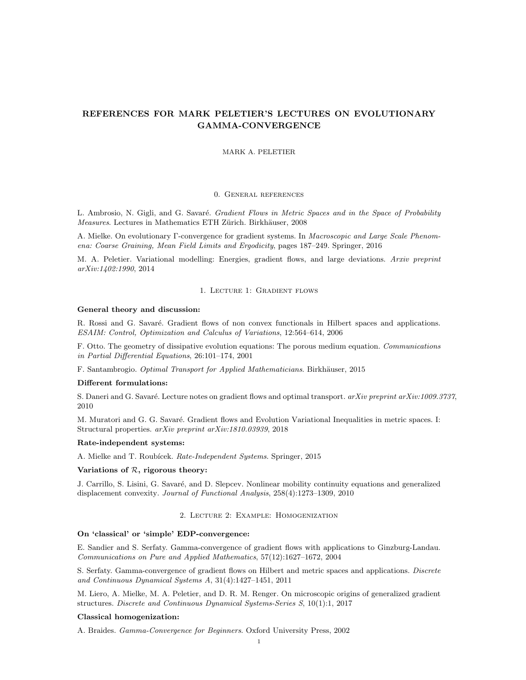# REFERENCES FOR MARK PELETIER'S LECTURES ON EVOLUTIONARY GAMMA-CONVERGENCE

#### MARK A. PELETIER

#### 0. General references

L. Ambrosio, N. Gigli, and G. Savaré. Gradient Flows in Metric Spaces and in the Space of Probability Measures. Lectures in Mathematics ETH Zürich. Birkhäuser, 2008

A. Mielke. On evolutionary Γ-convergence for gradient systems. In Macroscopic and Large Scale Phenomena: Coarse Graining, Mean Field Limits and Ergodicity, pages 187–249. Springer, 2016

M. A. Peletier. Variational modelling: Energies, gradient flows, and large deviations. Arxiv preprint arXiv:1402:1990, 2014

#### 1. Lecture 1: Gradient flows

#### General theory and discussion:

R. Rossi and G. Savaré. Gradient flows of non convex functionals in Hilbert spaces and applications. ESAIM: Control, Optimization and Calculus of Variations, 12:564–614, 2006

F. Otto. The geometry of dissipative evolution equations: The porous medium equation. Communications in Partial Differential Equations, 26:101–174, 2001

F. Santambrogio. Optimal Transport for Applied Mathematicians. Birkhäuser, 2015

## Different formulations:

S. Daneri and G. Savaré. Lecture notes on gradient flows and optimal transport.  $arXiv$  preprint  $arXiv:1009.3737$ , 2010

M. Muratori and G. G. Savaré. Gradient flows and Evolution Variational Inequalities in metric spaces. I: Structural properties. arXiv preprint arXiv:1810.03939, 2018

## Rate-independent systems:

A. Mielke and T. Roubícek. Rate-Independent Systems. Springer, 2015

## Variations of  $R$ , rigorous theory:

J. Carrillo, S. Lisini, G. Savaré, and D. Slepcev. Nonlinear mobility continuity equations and generalized displacement convexity. Journal of Functional Analysis, 258(4):1273–1309, 2010

# 2. Lecture 2: Example: Homogenization

# On 'classical' or 'simple' EDP-convergence:

E. Sandier and S. Serfaty. Gamma-convergence of gradient flows with applications to Ginzburg-Landau. Communications on Pure and Applied Mathematics, 57(12):1627–1672, 2004

S. Serfaty. Gamma-convergence of gradient flows on Hilbert and metric spaces and applications. Discrete and Continuous Dynamical Systems A, 31(4):1427–1451, 2011

M. Liero, A. Mielke, M. A. Peletier, and D. R. M. Renger. On microscopic origins of generalized gradient structures. Discrete and Continuous Dynamical Systems-Series S, 10(1):1, 2017

## Classical homogenization:

A. Braides. Gamma-Convergence for Beginners. Oxford University Press, 2002